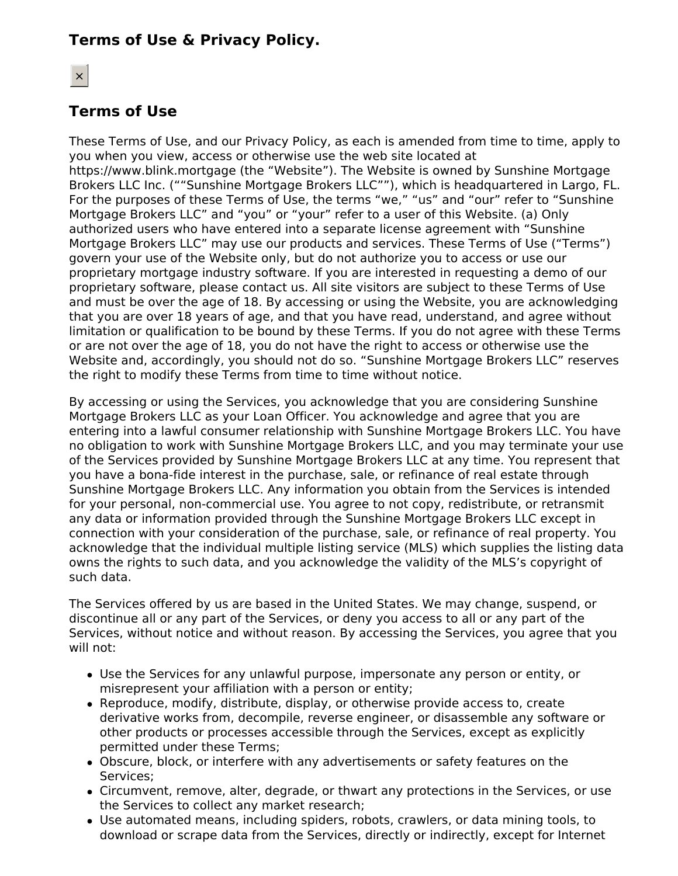# **Terms of Use & Privacy Policy.**

# **Terms of Use**

These Terms of Use, and our Privacy Policy, as each is amended from time to time, apply to you when you view, access or otherwise use the web site located at https://www.blink.mortgage (the "Website"). The Website is owned by Sunshine Mortgage Brokers LLC Inc. (""Sunshine Mortgage Brokers LLC""), which is headquartered in Largo, FL. For the purposes of these Terms of Use, the terms "we," "us" and "our" refer to "Sunshine Mortgage Brokers LLC" and "you" or "your" refer to a user of this Website. (a) Only authorized users who have entered into a separate license agreement with "Sunshine Mortgage Brokers LLC" may use our products and services. These Terms of Use ("Terms") govern your use of the Website only, but do not authorize you to access or use our proprietary mortgage industry software. If you are interested in requesting a demo of our proprietary software, please contact us. All site visitors are subject to these Terms of Use and must be over the age of 18. By accessing or using the Website, you are acknowledging that you are over 18 years of age, and that you have read, understand, and agree without limitation or qualification to be bound by these Terms. If you do not agree with these Terms or are not over the age of 18, you do not have the right to access or otherwise use the Website and, accordingly, you should not do so. "Sunshine Mortgage Brokers LLC" reserves the right to modify these Terms from time to time without notice.

By accessing or using the Services, you acknowledge that you are considering Sunshine Mortgage Brokers LLC as your Loan Officer. You acknowledge and agree that you are entering into a lawful consumer relationship with Sunshine Mortgage Brokers LLC. You have no obligation to work with Sunshine Mortgage Brokers LLC, and you may terminate your use of the Services provided by Sunshine Mortgage Brokers LLC at any time. You represent that you have a bona-fide interest in the purchase, sale, or refinance of real estate through Sunshine Mortgage Brokers LLC. Any information you obtain from the Services is intended for your personal, non-commercial use. You agree to not copy, redistribute, or retransmit any data or information provided through the Sunshine Mortgage Brokers LLC except in connection with your consideration of the purchase, sale, or refinance of real property. You acknowledge that the individual multiple listing service (MLS) which supplies the listing data owns the rights to such data, and you acknowledge the validity of the MLS's copyright of such data.

The Services offered by us are based in the United States. We may change, suspend, or discontinue all or any part of the Services, or deny you access to all or any part of the Services, without notice and without reason. By accessing the Services, you agree that you will not:

- Use the Services for any unlawful purpose, impersonate any person or entity, or misrepresent your affiliation with a person or entity;
- Reproduce, modify, distribute, display, or otherwise provide access to, create derivative works from, decompile, reverse engineer, or disassemble any software or other products or processes accessible through the Services, except as explicitly permitted under these Terms;
- Obscure, block, or interfere with any advertisements or safety features on the Services;
- Circumvent, remove, alter, degrade, or thwart any protections in the Services, or use the Services to collect any market research;
- Use automated means, including spiders, robots, crawlers, or data mining tools, to download or scrape data from the Services, directly or indirectly, except for Internet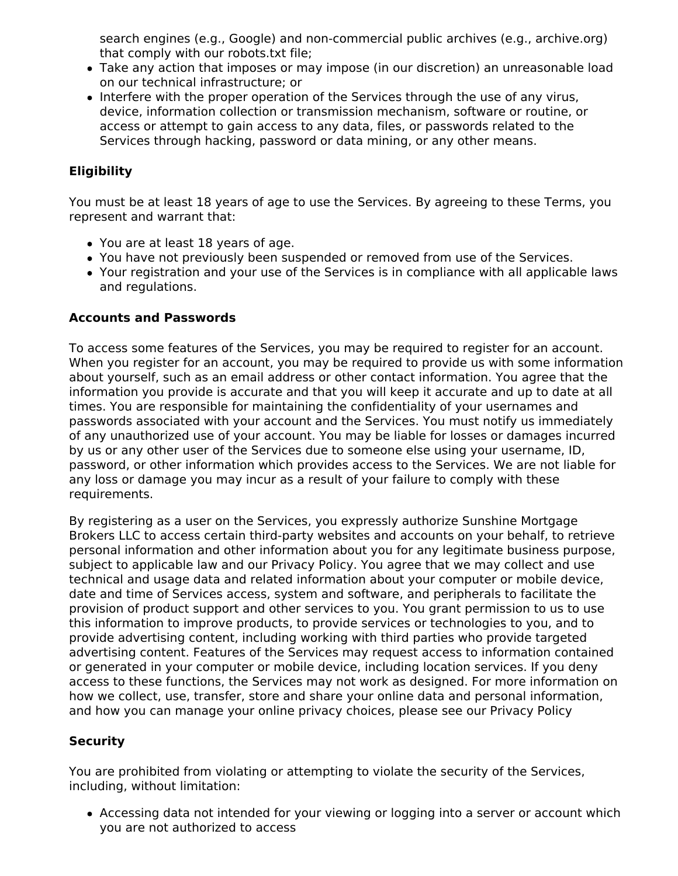search engines (e.g., Google) and non-commercial public archives (e.g., archive.org) that comply with our robots.txt file;

- Take any action that imposes or may impose (in our discretion) an unreasonable load on our technical infrastructure; or
- Interfere with the proper operation of the Services through the use of any virus, device, information collection or transmission mechanism, software or routine, or access or attempt to gain access to any data, files, or passwords related to the Services through hacking, password or data mining, or any other means.

# **Eligibility**

You must be at least 18 years of age to use the Services. By agreeing to these Terms, you represent and warrant that:

- You are at least 18 years of age.
- You have not previously been suspended or removed from use of the Services.
- Your registration and your use of the Services is in compliance with all applicable laws and regulations.

## **Accounts and Passwords**

To access some features of the Services, you may be required to register for an account. When you register for an account, you may be required to provide us with some information about yourself, such as an email address or other contact information. You agree that the information you provide is accurate and that you will keep it accurate and up to date at all times. You are responsible for maintaining the confidentiality of your usernames and passwords associated with your account and the Services. You must notify us immediately of any unauthorized use of your account. You may be liable for losses or damages incurred by us or any other user of the Services due to someone else using your username, ID, password, or other information which provides access to the Services. We are not liable for any loss or damage you may incur as a result of your failure to comply with these requirements.

By registering as a user on the Services, you expressly authorize Sunshine Mortgage Brokers LLC to access certain third-party websites and accounts on your behalf, to retrieve personal information and other information about you for any legitimate business purpose, subject to applicable law and our Privacy Policy. You agree that we may collect and use technical and usage data and related information about your computer or mobile device, date and time of Services access, system and software, and peripherals to facilitate the provision of product support and other services to you. You grant permission to us to use this information to improve products, to provide services or technologies to you, and to provide advertising content, including working with third parties who provide targeted advertising content. Features of the Services may request access to information contained or generated in your computer or mobile device, including location services. If you deny access to these functions, the Services may not work as designed. For more information on how we collect, use, transfer, store and share your online data and personal information, and how you can manage your online privacy choices, please see our Privacy Policy

# **Security**

You are prohibited from violating or attempting to violate the security of the Services, including, without limitation:

Accessing data not intended for your viewing or logging into a server or account which you are not authorized to access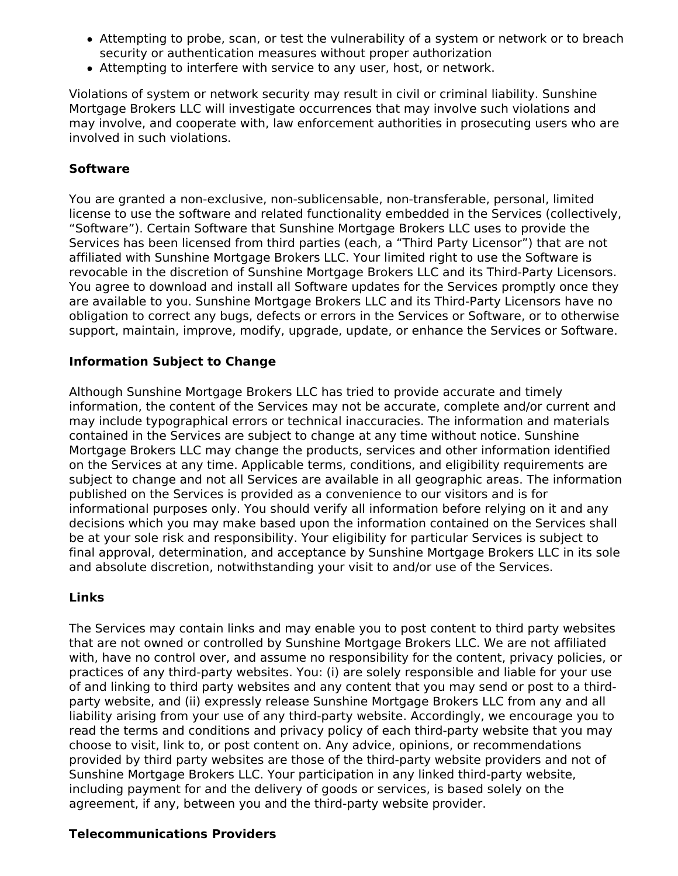- Attempting to probe, scan, or test the vulnerability of a system or network or to breach security or authentication measures without proper authorization
- Attempting to interfere with service to any user, host, or network.

Violations of system or network security may result in civil or criminal liability. Sunshine Mortgage Brokers LLC will investigate occurrences that may involve such violations and may involve, and cooperate with, law enforcement authorities in prosecuting users who are involved in such violations.

### **Software**

You are granted a non-exclusive, non-sublicensable, non-transferable, personal, limited license to use the software and related functionality embedded in the Services (collectively, "Software"). Certain Software that Sunshine Mortgage Brokers LLC uses to provide the Services has been licensed from third parties (each, a "Third Party Licensor") that are not affiliated with Sunshine Mortgage Brokers LLC. Your limited right to use the Software is revocable in the discretion of Sunshine Mortgage Brokers LLC and its Third-Party Licensors. You agree to download and install all Software updates for the Services promptly once they are available to you. Sunshine Mortgage Brokers LLC and its Third-Party Licensors have no obligation to correct any bugs, defects or errors in the Services or Software, or to otherwise support, maintain, improve, modify, upgrade, update, or enhance the Services or Software.

### **Information Subject to Change**

Although Sunshine Mortgage Brokers LLC has tried to provide accurate and timely information, the content of the Services may not be accurate, complete and/or current and may include typographical errors or technical inaccuracies. The information and materials contained in the Services are subject to change at any time without notice. Sunshine Mortgage Brokers LLC may change the products, services and other information identified on the Services at any time. Applicable terms, conditions, and eligibility requirements are subject to change and not all Services are available in all geographic areas. The information published on the Services is provided as a convenience to our visitors and is for informational purposes only. You should verify all information before relying on it and any decisions which you may make based upon the information contained on the Services shall be at your sole risk and responsibility. Your eligibility for particular Services is subject to final approval, determination, and acceptance by Sunshine Mortgage Brokers LLC in its sole and absolute discretion, notwithstanding your visit to and/or use of the Services.

### **Links**

The Services may contain links and may enable you to post content to third party websites that are not owned or controlled by Sunshine Mortgage Brokers LLC. We are not affiliated with, have no control over, and assume no responsibility for the content, privacy policies, or practices of any third-party websites. You: (i) are solely responsible and liable for your use of and linking to third party websites and any content that you may send or post to a thirdparty website, and (ii) expressly release Sunshine Mortgage Brokers LLC from any and all liability arising from your use of any third-party website. Accordingly, we encourage you to read the terms and conditions and privacy policy of each third-party website that you may choose to visit, link to, or post content on. Any advice, opinions, or recommendations provided by third party websites are those of the third-party website providers and not of Sunshine Mortgage Brokers LLC. Your participation in any linked third-party website, including payment for and the delivery of goods or services, is based solely on the agreement, if any, between you and the third-party website provider.

#### **Telecommunications Providers**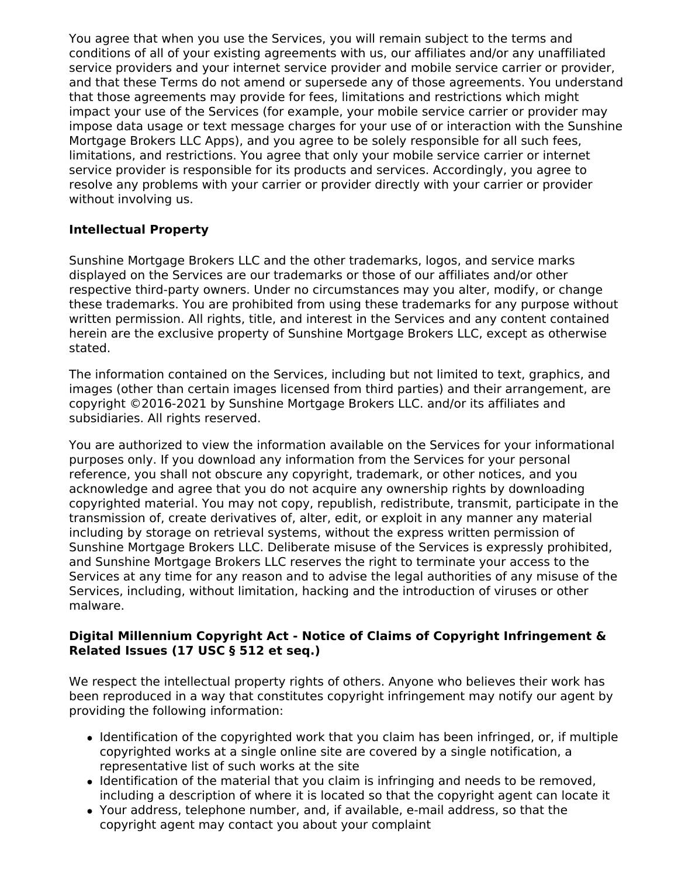You agree that when you use the Services, you will remain subject to the terms and conditions of all of your existing agreements with us, our affiliates and/or any unaffiliated service providers and your internet service provider and mobile service carrier or provider, and that these Terms do not amend or supersede any of those agreements. You understand that those agreements may provide for fees, limitations and restrictions which might impact your use of the Services (for example, your mobile service carrier or provider may impose data usage or text message charges for your use of or interaction with the Sunshine Mortgage Brokers LLC Apps), and you agree to be solely responsible for all such fees, limitations, and restrictions. You agree that only your mobile service carrier or internet service provider is responsible for its products and services. Accordingly, you agree to resolve any problems with your carrier or provider directly with your carrier or provider without involving us.

# **Intellectual Property**

Sunshine Mortgage Brokers LLC and the other trademarks, logos, and service marks displayed on the Services are our trademarks or those of our affiliates and/or other respective third-party owners. Under no circumstances may you alter, modify, or change these trademarks. You are prohibited from using these trademarks for any purpose without written permission. All rights, title, and interest in the Services and any content contained herein are the exclusive property of Sunshine Mortgage Brokers LLC, except as otherwise stated.

The information contained on the Services, including but not limited to text, graphics, and images (other than certain images licensed from third parties) and their arrangement, are copyright ©2016-2021 by Sunshine Mortgage Brokers LLC. and/or its affiliates and subsidiaries. All rights reserved.

You are authorized to view the information available on the Services for your informational purposes only. If you download any information from the Services for your personal reference, you shall not obscure any copyright, trademark, or other notices, and you acknowledge and agree that you do not acquire any ownership rights by downloading copyrighted material. You may not copy, republish, redistribute, transmit, participate in the transmission of, create derivatives of, alter, edit, or exploit in any manner any material including by storage on retrieval systems, without the express written permission of Sunshine Mortgage Brokers LLC. Deliberate misuse of the Services is expressly prohibited, and Sunshine Mortgage Brokers LLC reserves the right to terminate your access to the Services at any time for any reason and to advise the legal authorities of any misuse of the Services, including, without limitation, hacking and the introduction of viruses or other malware.

## **Digital Millennium Copyright Act - Notice of Claims of Copyright Infringement & Related Issues (17 USC § 512 et seq.)**

We respect the intellectual property rights of others. Anyone who believes their work has been reproduced in a way that constitutes copyright infringement may notify our agent by providing the following information:

- Identification of the copyrighted work that you claim has been infringed, or, if multiple copyrighted works at a single online site are covered by a single notification, a representative list of such works at the site
- Identification of the material that you claim is infringing and needs to be removed, including a description of where it is located so that the copyright agent can locate it
- Your address, telephone number, and, if available, e-mail address, so that the copyright agent may contact you about your complaint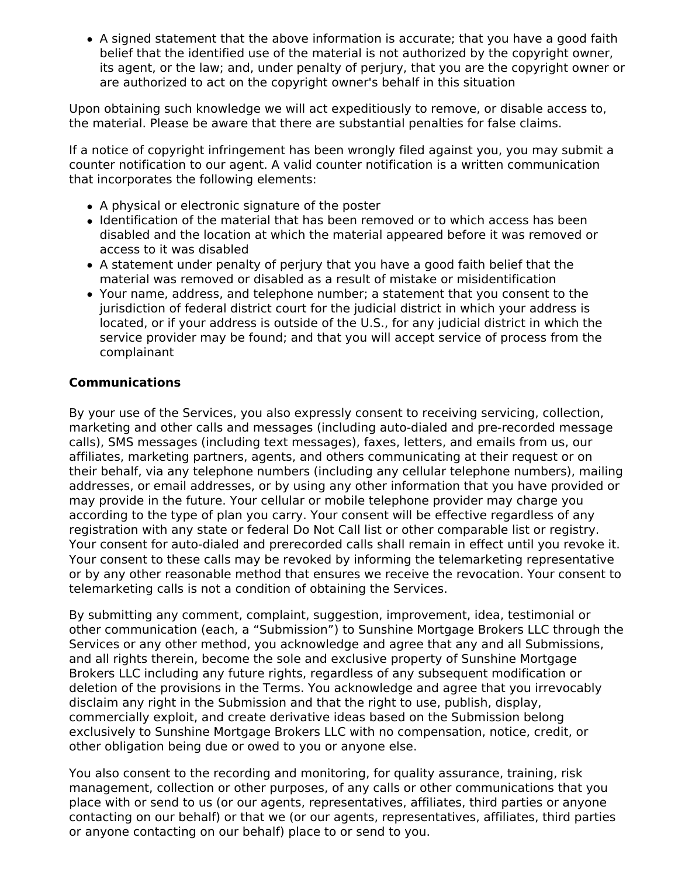A signed statement that the above information is accurate; that you have a good faith belief that the identified use of the material is not authorized by the copyright owner, its agent, or the law; and, under penalty of perjury, that you are the copyright owner or are authorized to act on the copyright owner's behalf in this situation

Upon obtaining such knowledge we will act expeditiously to remove, or disable access to, the material. Please be aware that there are substantial penalties for false claims.

If a notice of copyright infringement has been wrongly filed against you, you may submit a counter notification to our agent. A valid counter notification is a written communication that incorporates the following elements:

- A physical or electronic signature of the poster
- Identification of the material that has been removed or to which access has been disabled and the location at which the material appeared before it was removed or access to it was disabled
- A statement under penalty of perjury that you have a good faith belief that the material was removed or disabled as a result of mistake or misidentification
- Your name, address, and telephone number; a statement that you consent to the jurisdiction of federal district court for the judicial district in which your address is located, or if your address is outside of the U.S., for any judicial district in which the service provider may be found; and that you will accept service of process from the complainant

## **Communications**

By your use of the Services, you also expressly consent to receiving servicing, collection, marketing and other calls and messages (including auto-dialed and pre-recorded message calls), SMS messages (including text messages), faxes, letters, and emails from us, our affiliates, marketing partners, agents, and others communicating at their request or on their behalf, via any telephone numbers (including any cellular telephone numbers), mailing addresses, or email addresses, or by using any other information that you have provided or may provide in the future. Your cellular or mobile telephone provider may charge you according to the type of plan you carry. Your consent will be effective regardless of any registration with any state or federal Do Not Call list or other comparable list or registry. Your consent for auto-dialed and prerecorded calls shall remain in effect until you revoke it. Your consent to these calls may be revoked by informing the telemarketing representative or by any other reasonable method that ensures we receive the revocation. Your consent to telemarketing calls is not a condition of obtaining the Services.

By submitting any comment, complaint, suggestion, improvement, idea, testimonial or other communication (each, a "Submission") to Sunshine Mortgage Brokers LLC through the Services or any other method, you acknowledge and agree that any and all Submissions, and all rights therein, become the sole and exclusive property of Sunshine Mortgage Brokers LLC including any future rights, regardless of any subsequent modification or deletion of the provisions in the Terms. You acknowledge and agree that you irrevocably disclaim any right in the Submission and that the right to use, publish, display, commercially exploit, and create derivative ideas based on the Submission belong exclusively to Sunshine Mortgage Brokers LLC with no compensation, notice, credit, or other obligation being due or owed to you or anyone else.

You also consent to the recording and monitoring, for quality assurance, training, risk management, collection or other purposes, of any calls or other communications that you place with or send to us (or our agents, representatives, affiliates, third parties or anyone contacting on our behalf) or that we (or our agents, representatives, affiliates, third parties or anyone contacting on our behalf) place to or send to you.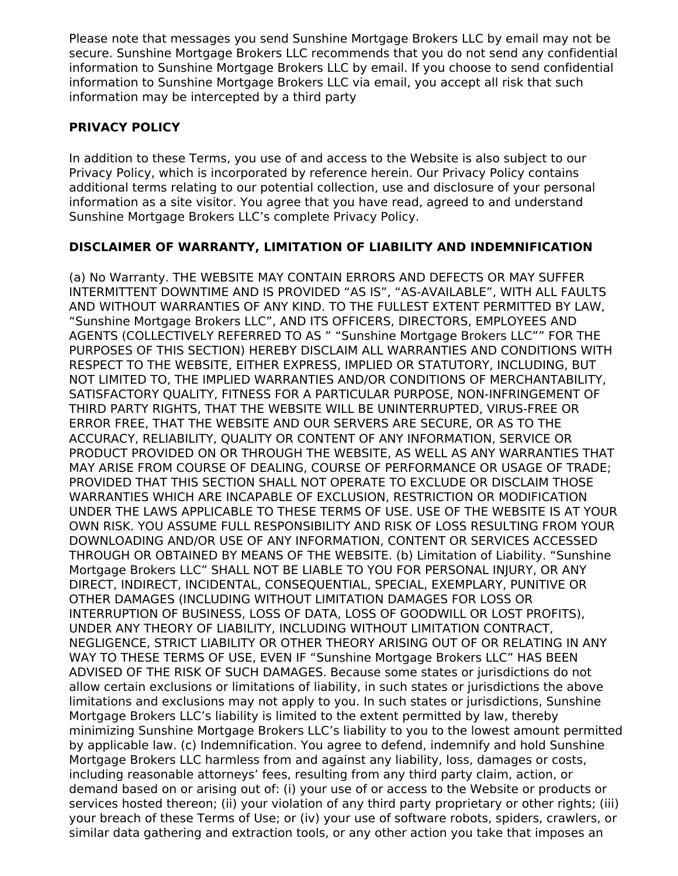Please note that messages you send Sunshine Mortgage Brokers LLC by email may not be secure. Sunshine Mortgage Brokers LLC recommends that you do not send any confidential information to Sunshine Mortgage Brokers LLC by email. If you choose to send confidential information to Sunshine Mortgage Brokers LLC via email, you accept all risk that such information may be intercepted by a third party

# **PRIVACY POLICY**

In addition to these Terms, you use of and access to the Website is also subject to our Privacy Policy, which is incorporated by reference herein. Our Privacy Policy contains additional terms relating to our potential collection, use and disclosure of your personal information as a site visitor. You agree that you have read, agreed to and understand Sunshine Mortgage Brokers LLC's complete Privacy Policy.

# **DISCLAIMER OF WARRANTY, LIMITATION OF LIABILITY AND INDEMNIFICATION**

(a) No Warranty. THE WEBSITE MAY CONTAIN ERRORS AND DEFECTS OR MAY SUFFER INTERMITTENT DOWNTIME AND IS PROVIDED "AS IS", "AS-AVAILABLE", WITH ALL FAULTS AND WITHOUT WARRANTIES OF ANY KIND. TO THE FULLEST EXTENT PERMITTED BY LAW, "Sunshine Mortgage Brokers LLC", AND ITS OFFICERS, DIRECTORS, EMPLOYEES AND AGENTS (COLLECTIVELY REFERRED TO AS " "Sunshine Mortgage Brokers LLC"" FOR THE PURPOSES OF THIS SECTION) HEREBY DISCLAIM ALL WARRANTIES AND CONDITIONS WITH RESPECT TO THE WEBSITE, EITHER EXPRESS, IMPLIED OR STATUTORY, INCLUDING, BUT NOT LIMITED TO, THE IMPLIED WARRANTIES AND/OR CONDITIONS OF MERCHANTABILITY, SATISFACTORY QUALITY, FITNESS FOR A PARTICULAR PURPOSE, NON-INFRINGEMENT OF THIRD PARTY RIGHTS, THAT THE WEBSITE WILL BE UNINTERRUPTED, VIRUS-FREE OR ERROR FREE, THAT THE WEBSITE AND OUR SERVERS ARE SECURE, OR AS TO THE ACCURACY, RELIABILITY, QUALITY OR CONTENT OF ANY INFORMATION, SERVICE OR PRODUCT PROVIDED ON OR THROUGH THE WEBSITE, AS WELL AS ANY WARRANTIES THAT MAY ARISE FROM COURSE OF DEALING, COURSE OF PERFORMANCE OR USAGE OF TRADE; PROVIDED THAT THIS SECTION SHALL NOT OPERATE TO EXCLUDE OR DISCLAIM THOSE WARRANTIES WHICH ARE INCAPABLE OF EXCLUSION, RESTRICTION OR MODIFICATION UNDER THE LAWS APPLICABLE TO THESE TERMS OF USE. USE OF THE WEBSITE IS AT YOUR OWN RISK. YOU ASSUME FULL RESPONSIBILITY AND RISK OF LOSS RESULTING FROM YOUR DOWNLOADING AND/OR USE OF ANY INFORMATION, CONTENT OR SERVICES ACCESSED THROUGH OR OBTAINED BY MEANS OF THE WEBSITE. (b) Limitation of Liability. "Sunshine Mortgage Brokers LLC" SHALL NOT BE LIABLE TO YOU FOR PERSONAL INJURY, OR ANY DIRECT, INDIRECT, INCIDENTAL, CONSEQUENTIAL, SPECIAL, EXEMPLARY, PUNITIVE OR OTHER DAMAGES (INCLUDING WITHOUT LIMITATION DAMAGES FOR LOSS OR INTERRUPTION OF BUSINESS, LOSS OF DATA, LOSS OF GOODWILL OR LOST PROFITS), UNDER ANY THEORY OF LIABILITY, INCLUDING WITHOUT LIMITATION CONTRACT, NEGLIGENCE, STRICT LIABILITY OR OTHER THEORY ARISING OUT OF OR RELATING IN ANY WAY TO THESE TERMS OF USE, EVEN IF "Sunshine Mortgage Brokers LLC" HAS BEEN ADVISED OF THE RISK OF SUCH DAMAGES. Because some states or jurisdictions do not allow certain exclusions or limitations of liability, in such states or jurisdictions the above limitations and exclusions may not apply to you. In such states or jurisdictions, Sunshine Mortgage Brokers LLC's liability is limited to the extent permitted by law, thereby minimizing Sunshine Mortgage Brokers LLC's liability to you to the lowest amount permitted by applicable law. (c) Indemnification. You agree to defend, indemnify and hold Sunshine Mortgage Brokers LLC harmless from and against any liability, loss, damages or costs, including reasonable attorneys' fees, resulting from any third party claim, action, or demand based on or arising out of: (i) your use of or access to the Website or products or services hosted thereon; (ii) your violation of any third party proprietary or other rights; (iii) your breach of these Terms of Use; or (iv) your use of software robots, spiders, crawlers, or similar data gathering and extraction tools, or any other action you take that imposes an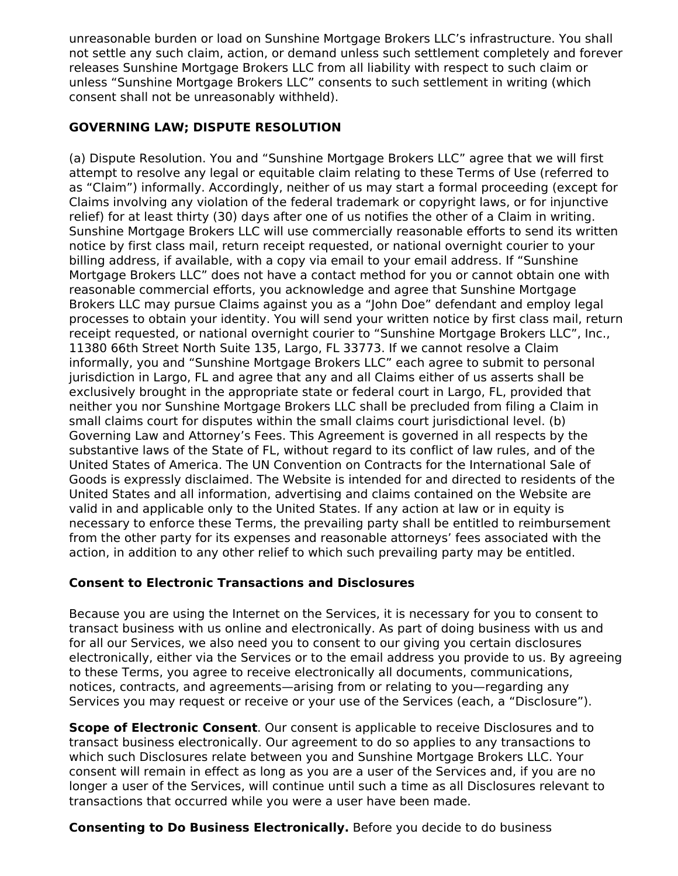unreasonable burden or load on Sunshine Mortgage Brokers LLC's infrastructure. You shall not settle any such claim, action, or demand unless such settlement completely and forever releases Sunshine Mortgage Brokers LLC from all liability with respect to such claim or unless "Sunshine Mortgage Brokers LLC" consents to such settlement in writing (which consent shall not be unreasonably withheld).

# **GOVERNING LAW; DISPUTE RESOLUTION**

(a) Dispute Resolution. You and "Sunshine Mortgage Brokers LLC" agree that we will first attempt to resolve any legal or equitable claim relating to these Terms of Use (referred to as "Claim") informally. Accordingly, neither of us may start a formal proceeding (except for Claims involving any violation of the federal trademark or copyright laws, or for injunctive relief) for at least thirty (30) days after one of us notifies the other of a Claim in writing. Sunshine Mortgage Brokers LLC will use commercially reasonable efforts to send its written notice by first class mail, return receipt requested, or national overnight courier to your billing address, if available, with a copy via email to your email address. If "Sunshine Mortgage Brokers LLC" does not have a contact method for you or cannot obtain one with reasonable commercial efforts, you acknowledge and agree that Sunshine Mortgage Brokers LLC may pursue Claims against you as a "John Doe" defendant and employ legal processes to obtain your identity. You will send your written notice by first class mail, return receipt requested, or national overnight courier to "Sunshine Mortgage Brokers LLC", Inc., 11380 66th Street North Suite 135, Largo, FL 33773. If we cannot resolve a Claim informally, you and "Sunshine Mortgage Brokers LLC" each agree to submit to personal jurisdiction in Largo, FL and agree that any and all Claims either of us asserts shall be exclusively brought in the appropriate state or federal court in Largo, FL, provided that neither you nor Sunshine Mortgage Brokers LLC shall be precluded from filing a Claim in small claims court for disputes within the small claims court jurisdictional level. (b) Governing Law and Attorney's Fees. This Agreement is governed in all respects by the substantive laws of the State of FL, without regard to its conflict of law rules, and of the United States of America. The UN Convention on Contracts for the International Sale of Goods is expressly disclaimed. The Website is intended for and directed to residents of the United States and all information, advertising and claims contained on the Website are valid in and applicable only to the United States. If any action at law or in equity is necessary to enforce these Terms, the prevailing party shall be entitled to reimbursement from the other party for its expenses and reasonable attorneys' fees associated with the action, in addition to any other relief to which such prevailing party may be entitled.

# **Consent to Electronic Transactions and Disclosures**

Because you are using the Internet on the Services, it is necessary for you to consent to transact business with us online and electronically. As part of doing business with us and for all our Services, we also need you to consent to our giving you certain disclosures electronically, either via the Services or to the email address you provide to us. By agreeing to these Terms, you agree to receive electronically all documents, communications, notices, contracts, and agreements—arising from or relating to you—regarding any Services you may request or receive or your use of the Services (each, a "Disclosure").

**Scope of Electronic Consent**. Our consent is applicable to receive Disclosures and to transact business electronically. Our agreement to do so applies to any transactions to which such Disclosures relate between you and Sunshine Mortgage Brokers LLC. Your consent will remain in effect as long as you are a user of the Services and, if you are no longer a user of the Services, will continue until such a time as all Disclosures relevant to transactions that occurred while you were a user have been made.

**Consenting to Do Business Electronically.** Before you decide to do business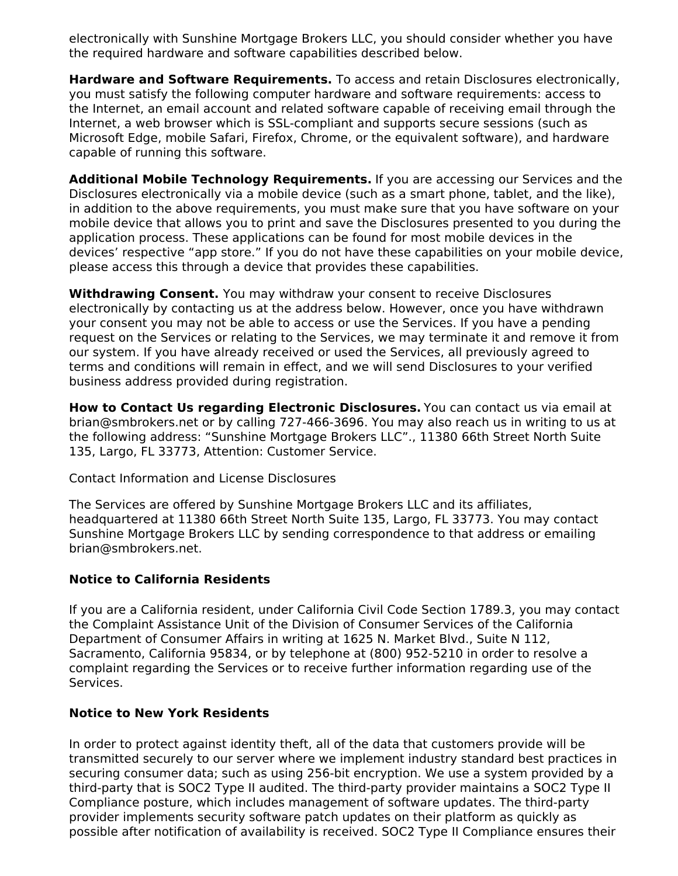electronically with Sunshine Mortgage Brokers LLC, you should consider whether you have the required hardware and software capabilities described below.

**Hardware and Software Requirements.** To access and retain Disclosures electronically, you must satisfy the following computer hardware and software requirements: access to the Internet, an email account and related software capable of receiving email through the Internet, a web browser which is SSL-compliant and supports secure sessions (such as Microsoft Edge, mobile Safari, Firefox, Chrome, or the equivalent software), and hardware capable of running this software.

**Additional Mobile Technology Requirements.** If you are accessing our Services and the Disclosures electronically via a mobile device (such as a smart phone, tablet, and the like), in addition to the above requirements, you must make sure that you have software on your mobile device that allows you to print and save the Disclosures presented to you during the application process. These applications can be found for most mobile devices in the devices' respective "app store." If you do not have these capabilities on your mobile device, please access this through a device that provides these capabilities.

**Withdrawing Consent.** You may withdraw your consent to receive Disclosures electronically by contacting us at the address below. However, once you have withdrawn your consent you may not be able to access or use the Services. If you have a pending request on the Services or relating to the Services, we may terminate it and remove it from our system. If you have already received or used the Services, all previously agreed to terms and conditions will remain in effect, and we will send Disclosures to your verified business address provided during registration.

**How to Contact Us regarding Electronic Disclosures.** You can contact us via email at brian@smbrokers.net or by calling 727-466-3696. You may also reach us in writing to us at the following address: "Sunshine Mortgage Brokers LLC"., 11380 66th Street North Suite 135, Largo, FL 33773, Attention: Customer Service.

Contact Information and License Disclosures

The Services are offered by Sunshine Mortgage Brokers LLC and its affiliates, headquartered at 11380 66th Street North Suite 135, Largo, FL 33773. You may contact Sunshine Mortgage Brokers LLC by sending correspondence to that address or emailing brian@smbrokers.net.

### **Notice to California Residents**

If you are a California resident, under California Civil Code Section 1789.3, you may contact the Complaint Assistance Unit of the Division of Consumer Services of the California Department of Consumer Affairs in writing at 1625 N. Market Blvd., Suite N 112, Sacramento, California 95834, or by telephone at (800) 952-5210 in order to resolve a complaint regarding the Services or to receive further information regarding use of the Services.

### **Notice to New York Residents**

In order to protect against identity theft, all of the data that customers provide will be transmitted securely to our server where we implement industry standard best practices in securing consumer data; such as using 256-bit encryption. We use a system provided by a third-party that is SOC2 Type II audited. The third-party provider maintains a SOC2 Type II Compliance posture, which includes management of software updates. The third-party provider implements security software patch updates on their platform as quickly as possible after notification of availability is received. SOC2 Type II Compliance ensures their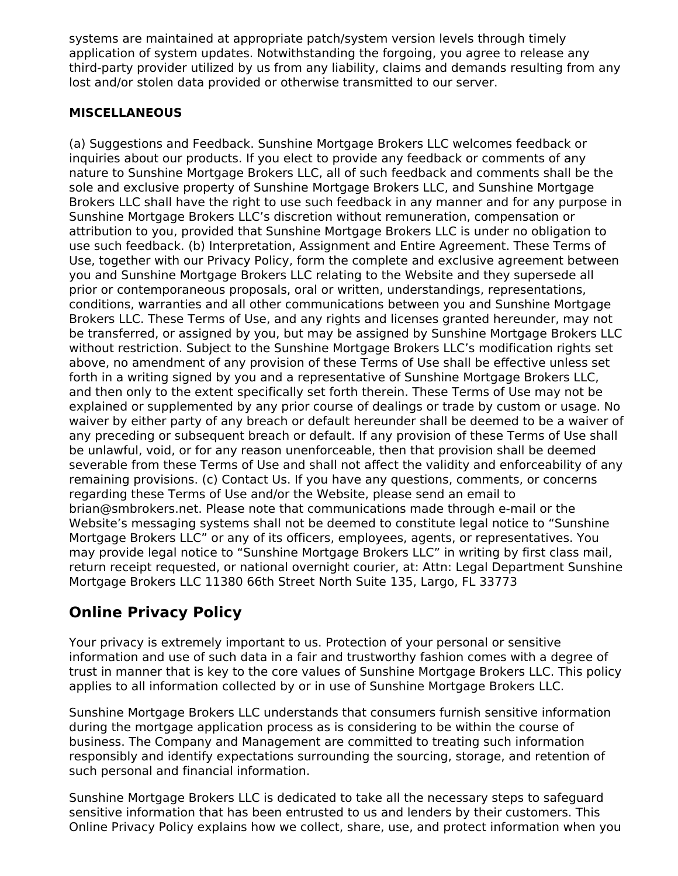systems are maintained at appropriate patch/system version levels through timely application of system updates. Notwithstanding the forgoing, you agree to release any third-party provider utilized by us from any liability, claims and demands resulting from any lost and/or stolen data provided or otherwise transmitted to our server.

## **MISCELLANEOUS**

(a) Suggestions and Feedback. Sunshine Mortgage Brokers LLC welcomes feedback or inquiries about our products. If you elect to provide any feedback or comments of any nature to Sunshine Mortgage Brokers LLC, all of such feedback and comments shall be the sole and exclusive property of Sunshine Mortgage Brokers LLC, and Sunshine Mortgage Brokers LLC shall have the right to use such feedback in any manner and for any purpose in Sunshine Mortgage Brokers LLC's discretion without remuneration, compensation or attribution to you, provided that Sunshine Mortgage Brokers LLC is under no obligation to use such feedback. (b) Interpretation, Assignment and Entire Agreement. These Terms of Use, together with our Privacy Policy, form the complete and exclusive agreement between you and Sunshine Mortgage Brokers LLC relating to the Website and they supersede all prior or contemporaneous proposals, oral or written, understandings, representations, conditions, warranties and all other communications between you and Sunshine Mortgage Brokers LLC. These Terms of Use, and any rights and licenses granted hereunder, may not be transferred, or assigned by you, but may be assigned by Sunshine Mortgage Brokers LLC without restriction. Subject to the Sunshine Mortgage Brokers LLC's modification rights set above, no amendment of any provision of these Terms of Use shall be effective unless set forth in a writing signed by you and a representative of Sunshine Mortgage Brokers LLC, and then only to the extent specifically set forth therein. These Terms of Use may not be explained or supplemented by any prior course of dealings or trade by custom or usage. No waiver by either party of any breach or default hereunder shall be deemed to be a waiver of any preceding or subsequent breach or default. If any provision of these Terms of Use shall be unlawful, void, or for any reason unenforceable, then that provision shall be deemed severable from these Terms of Use and shall not affect the validity and enforceability of any remaining provisions. (c) Contact Us. If you have any questions, comments, or concerns regarding these Terms of Use and/or the Website, please send an email to brian@smbrokers.net. Please note that communications made through e-mail or the Website's messaging systems shall not be deemed to constitute legal notice to "Sunshine Mortgage Brokers LLC" or any of its officers, employees, agents, or representatives. You may provide legal notice to "Sunshine Mortgage Brokers LLC" in writing by first class mail, return receipt requested, or national overnight courier, at: Attn: Legal Department Sunshine Mortgage Brokers LLC 11380 66th Street North Suite 135, Largo, FL 33773

# **Online Privacy Policy**

Your privacy is extremely important to us. Protection of your personal or sensitive information and use of such data in a fair and trustworthy fashion comes with a degree of trust in manner that is key to the core values of Sunshine Mortgage Brokers LLC. This policy applies to all information collected by or in use of Sunshine Mortgage Brokers LLC.

Sunshine Mortgage Brokers LLC understands that consumers furnish sensitive information during the mortgage application process as is considering to be within the course of business. The Company and Management are committed to treating such information responsibly and identify expectations surrounding the sourcing, storage, and retention of such personal and financial information.

Sunshine Mortgage Brokers LLC is dedicated to take all the necessary steps to safeguard sensitive information that has been entrusted to us and lenders by their customers. This Online Privacy Policy explains how we collect, share, use, and protect information when you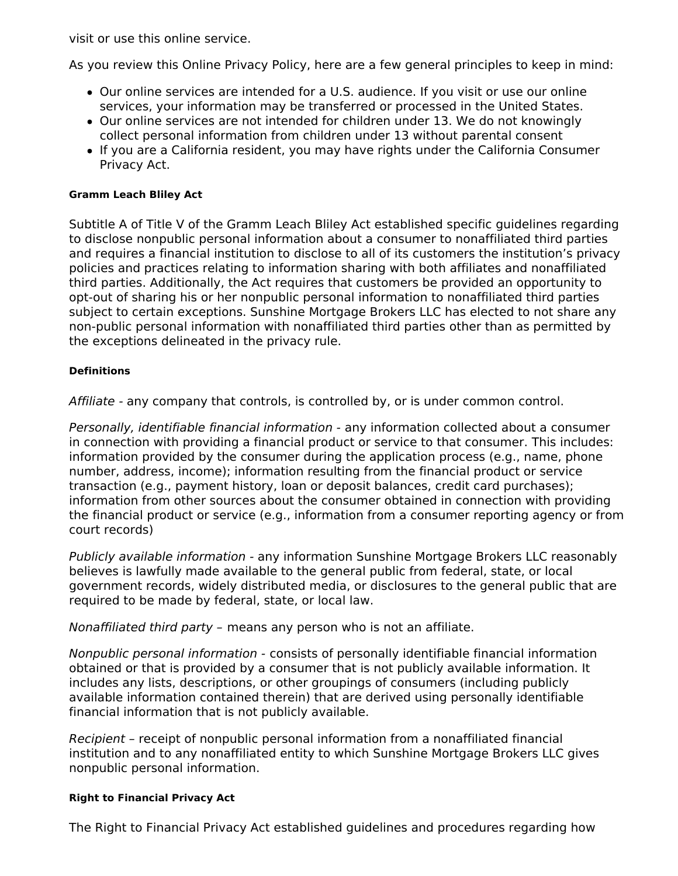visit or use this online service.

As you review this Online Privacy Policy, here are a few general principles to keep in mind:

- Our online services are intended for a U.S. audience. If you visit or use our online services, your information may be transferred or processed in the United States.
- Our online services are not intended for children under 13. We do not knowingly collect personal information from children under 13 without parental consent
- If you are a California resident, you may have rights under the California Consumer Privacy Act.

### **Gramm Leach Bliley Act**

Subtitle A of Title V of the Gramm Leach Bliley Act established specific guidelines regarding to disclose nonpublic personal information about a consumer to nonaffiliated third parties and requires a financial institution to disclose to all of its customers the institution's privacy policies and practices relating to information sharing with both affiliates and nonaffiliated third parties. Additionally, the Act requires that customers be provided an opportunity to opt-out of sharing his or her nonpublic personal information to nonaffiliated third parties subject to certain exceptions. Sunshine Mortgage Brokers LLC has elected to not share any non-public personal information with nonaffiliated third parties other than as permitted by the exceptions delineated in the privacy rule.

### **Definitions**

Affiliate - any company that controls, is controlled by, or is under common control.

Personally, identifiable financial information - any information collected about a consumer in connection with providing a financial product or service to that consumer. This includes: information provided by the consumer during the application process (e.g., name, phone number, address, income); information resulting from the financial product or service transaction (e.g., payment history, loan or deposit balances, credit card purchases); information from other sources about the consumer obtained in connection with providing the financial product or service (e.g., information from a consumer reporting agency or from court records)

Publicly available information - any information Sunshine Mortgage Brokers LLC reasonably believes is lawfully made available to the general public from federal, state, or local government records, widely distributed media, or disclosures to the general public that are required to be made by federal, state, or local law.

Nonaffiliated third party – means any person who is not an affiliate.

Nonpublic personal information - consists of personally identifiable financial information obtained or that is provided by a consumer that is not publicly available information. It includes any lists, descriptions, or other groupings of consumers (including publicly available information contained therein) that are derived using personally identifiable financial information that is not publicly available.

Recipient – receipt of nonpublic personal information from a nonaffiliated financial institution and to any nonaffiliated entity to which Sunshine Mortgage Brokers LLC gives nonpublic personal information.

#### **Right to Financial Privacy Act**

The Right to Financial Privacy Act established guidelines and procedures regarding how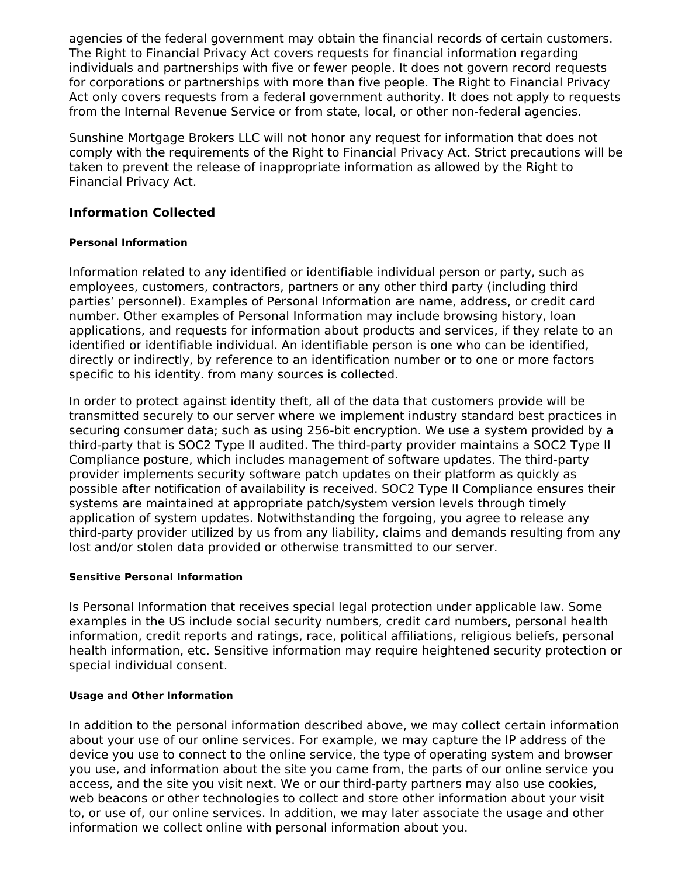agencies of the federal government may obtain the financial records of certain customers. The Right to Financial Privacy Act covers requests for financial information regarding individuals and partnerships with five or fewer people. It does not govern record requests for corporations or partnerships with more than five people. The Right to Financial Privacy Act only covers requests from a federal government authority. It does not apply to requests from the Internal Revenue Service or from state, local, or other non-federal agencies.

Sunshine Mortgage Brokers LLC will not honor any request for information that does not comply with the requirements of the Right to Financial Privacy Act. Strict precautions will be taken to prevent the release of inappropriate information as allowed by the Right to Financial Privacy Act.

## **Information Collected**

## **Personal Information**

Information related to any identified or identifiable individual person or party, such as employees, customers, contractors, partners or any other third party (including third parties' personnel). Examples of Personal Information are name, address, or credit card number. Other examples of Personal Information may include browsing history, loan applications, and requests for information about products and services, if they relate to an identified or identifiable individual. An identifiable person is one who can be identified, directly or indirectly, by reference to an identification number or to one or more factors specific to his identity. from many sources is collected.

In order to protect against identity theft, all of the data that customers provide will be transmitted securely to our server where we implement industry standard best practices in securing consumer data; such as using 256-bit encryption. We use a system provided by a third-party that is SOC2 Type II audited. The third-party provider maintains a SOC2 Type II Compliance posture, which includes management of software updates. The third-party provider implements security software patch updates on their platform as quickly as possible after notification of availability is received. SOC2 Type II Compliance ensures their systems are maintained at appropriate patch/system version levels through timely application of system updates. Notwithstanding the forgoing, you agree to release any third-party provider utilized by us from any liability, claims and demands resulting from any lost and/or stolen data provided or otherwise transmitted to our server.

### **Sensitive Personal Information**

Is Personal Information that receives special legal protection under applicable law. Some examples in the US include social security numbers, credit card numbers, personal health information, credit reports and ratings, race, political affiliations, religious beliefs, personal health information, etc. Sensitive information may require heightened security protection or special individual consent.

### **Usage and Other Information**

In addition to the personal information described above, we may collect certain information about your use of our online services. For example, we may capture the IP address of the device you use to connect to the online service, the type of operating system and browser you use, and information about the site you came from, the parts of our online service you access, and the site you visit next. We or our third-party partners may also use cookies, web beacons or other technologies to collect and store other information about your visit to, or use of, our online services. In addition, we may later associate the usage and other information we collect online with personal information about you.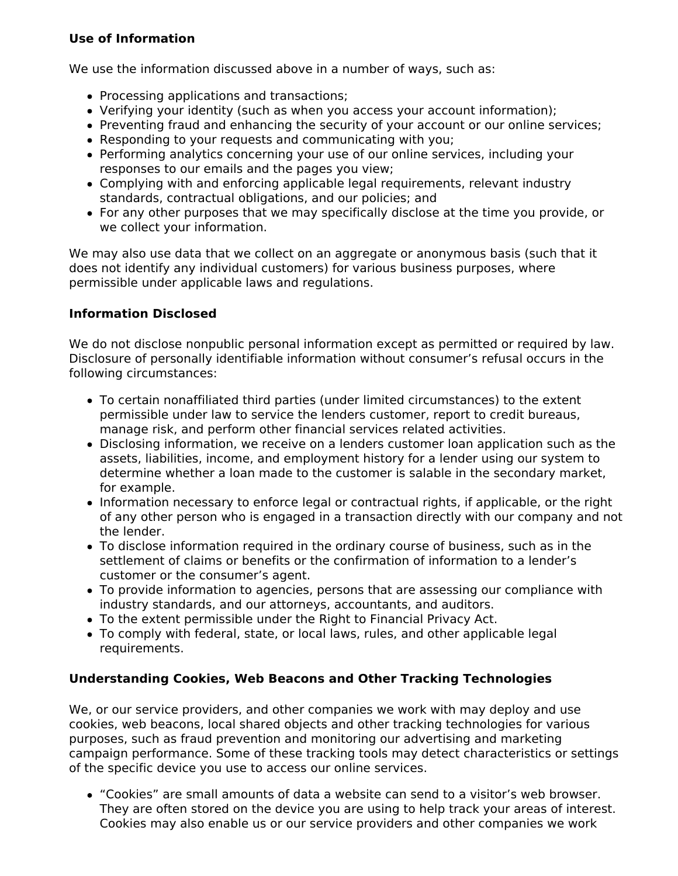# **Use of Information**

We use the information discussed above in a number of ways, such as:

- Processing applications and transactions;
- Verifying your identity (such as when you access your account information);
- Preventing fraud and enhancing the security of your account or our online services;
- Responding to your requests and communicating with you;
- Performing analytics concerning your use of our online services, including your responses to our emails and the pages you view;
- Complying with and enforcing applicable legal requirements, relevant industry standards, contractual obligations, and our policies; and
- For any other purposes that we may specifically disclose at the time you provide, or we collect your information.

We may also use data that we collect on an aggregate or anonymous basis (such that it does not identify any individual customers) for various business purposes, where permissible under applicable laws and regulations.

# **Information Disclosed**

We do not disclose nonpublic personal information except as permitted or required by law. Disclosure of personally identifiable information without consumer's refusal occurs in the following circumstances:

- To certain nonaffiliated third parties (under limited circumstances) to the extent permissible under law to service the lenders customer, report to credit bureaus, manage risk, and perform other financial services related activities.
- Disclosing information, we receive on a lenders customer loan application such as the assets, liabilities, income, and employment history for a lender using our system to determine whether a loan made to the customer is salable in the secondary market, for example.
- Information necessary to enforce legal or contractual rights, if applicable, or the right of any other person who is engaged in a transaction directly with our company and not the lender.
- To disclose information required in the ordinary course of business, such as in the settlement of claims or benefits or the confirmation of information to a lender's customer or the consumer's agent.
- To provide information to agencies, persons that are assessing our compliance with industry standards, and our attorneys, accountants, and auditors.
- To the extent permissible under the Right to Financial Privacy Act.
- To comply with federal, state, or local laws, rules, and other applicable legal requirements.

# **Understanding Cookies, Web Beacons and Other Tracking Technologies**

We, or our service providers, and other companies we work with may deploy and use cookies, web beacons, local shared objects and other tracking technologies for various purposes, such as fraud prevention and monitoring our advertising and marketing campaign performance. Some of these tracking tools may detect characteristics or settings of the specific device you use to access our online services.

"Cookies" are small amounts of data a website can send to a visitor's web browser. They are often stored on the device you are using to help track your areas of interest. Cookies may also enable us or our service providers and other companies we work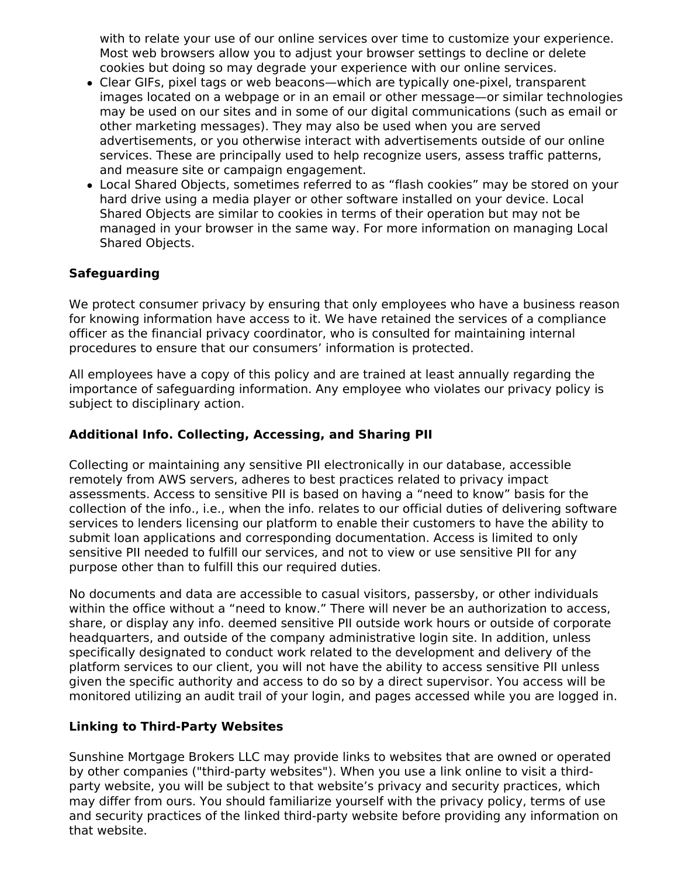with to relate your use of our online services over time to customize your experience. Most web browsers allow you to adjust your browser settings to decline or delete cookies but doing so may degrade your experience with our online services.

- Clear GIFs, pixel tags or web beacons—which are typically one-pixel, transparent images located on a webpage or in an email or other message—or similar technologies may be used on our sites and in some of our digital communications (such as email or other marketing messages). They may also be used when you are served advertisements, or you otherwise interact with advertisements outside of our online services. These are principally used to help recognize users, assess traffic patterns, and measure site or campaign engagement.
- Local Shared Objects, sometimes referred to as "flash cookies" may be stored on your hard drive using a media player or other software installed on your device. Local Shared Objects are similar to cookies in terms of their operation but may not be managed in your browser in the same way. For more information on managing Local Shared Objects.

# **Safeguarding**

We protect consumer privacy by ensuring that only employees who have a business reason for knowing information have access to it. We have retained the services of a compliance officer as the financial privacy coordinator, who is consulted for maintaining internal procedures to ensure that our consumers' information is protected.

All employees have a copy of this policy and are trained at least annually regarding the importance of safeguarding information. Any employee who violates our privacy policy is subject to disciplinary action.

## **Additional Info. Collecting, Accessing, and Sharing PII**

Collecting or maintaining any sensitive PII electronically in our database, accessible remotely from AWS servers, adheres to best practices related to privacy impact assessments. Access to sensitive PII is based on having a "need to know" basis for the collection of the info., i.e., when the info. relates to our official duties of delivering software services to lenders licensing our platform to enable their customers to have the ability to submit loan applications and corresponding documentation. Access is limited to only sensitive PII needed to fulfill our services, and not to view or use sensitive PII for any purpose other than to fulfill this our required duties.

No documents and data are accessible to casual visitors, passersby, or other individuals within the office without a "need to know." There will never be an authorization to access, share, or display any info. deemed sensitive PII outside work hours or outside of corporate headquarters, and outside of the company administrative login site. In addition, unless specifically designated to conduct work related to the development and delivery of the platform services to our client, you will not have the ability to access sensitive PII unless given the specific authority and access to do so by a direct supervisor. You access will be monitored utilizing an audit trail of your login, and pages accessed while you are logged in.

### **Linking to Third-Party Websites**

Sunshine Mortgage Brokers LLC may provide links to websites that are owned or operated by other companies ("third-party websites"). When you use a link online to visit a thirdparty website, you will be subject to that website's privacy and security practices, which may differ from ours. You should familiarize yourself with the privacy policy, terms of use and security practices of the linked third-party website before providing any information on that website.